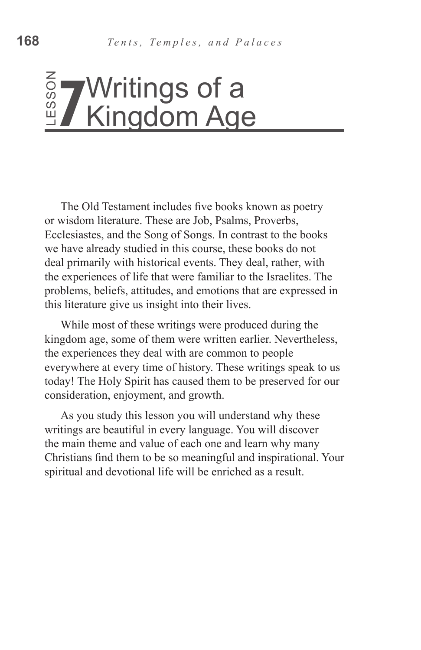# Writings of a Kingdom Age

The Old Testament includes five books known as poetry or wisdom literature. These are Job, Psalms, Proverbs, Ecclesiastes, and the Song of Songs. In contrast to the books we have already studied in this course, these books do not deal primarily with historical events. They deal, rather, with the experiences of life that were familiar to the Israelites. The problems, beliefs, attitudes, and emotions that are expressed in this literature give us insight into their lives. spiritual and devotional life will be enriched as a result. LESSON **7**

While most of these writings were produced during the kingdom age, some of them were written earlier. Nevertheless, the experiences they deal with are common to people everywhere at every time of history. These writings speak to us today! The Holy Spirit has caused them to be preserved for our consideration, enjoyment, and growth.

As you study this lesson you will understand why these writings are beautiful in every language. You will discover the main theme and value of each one and learn why many Christians find them to be so meaningful and inspirational. Your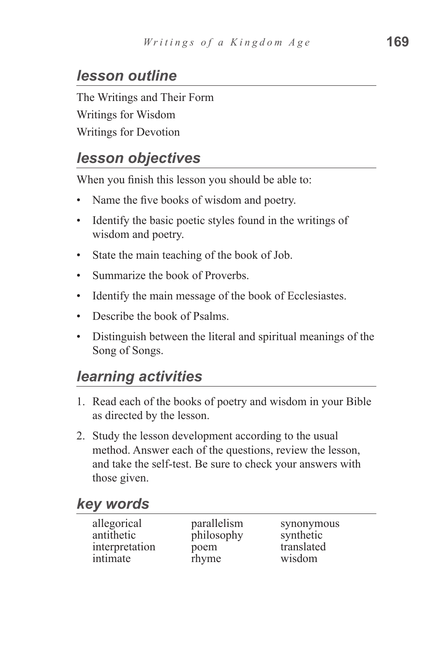## *lesson outline*

The Writings and Their Form Writings for Wisdom Writings for Devotion

## *lesson objectives*

When you finish this lesson you should be able to:

- Name the five books of wisdom and poetry.
- Identify the basic poetic styles found in the writings of wisdom and poetry.
- State the main teaching of the book of Job.
- Summarize the book of Proverbs.
- Identify the main message of the book of Ecclesiastes.
- Describe the book of Psalms.
- Distinguish between the literal and spiritual meanings of the Song of Songs.

### *learning activities*

- 1. Read each of the books of poetry and wisdom in your Bible as directed by the lesson.
- 2. Study the lesson development according to the usual method. Answer each of the questions, review the lesson, and take the self-test. Be sure to check your answers with those given.

### *key words*

| allegorical    | parallelism | synonymous |
|----------------|-------------|------------|
| antithetic     | philosophy  | synthetic  |
| interpretation | poem        | translated |
| intimate       | rhyme       | wisdom     |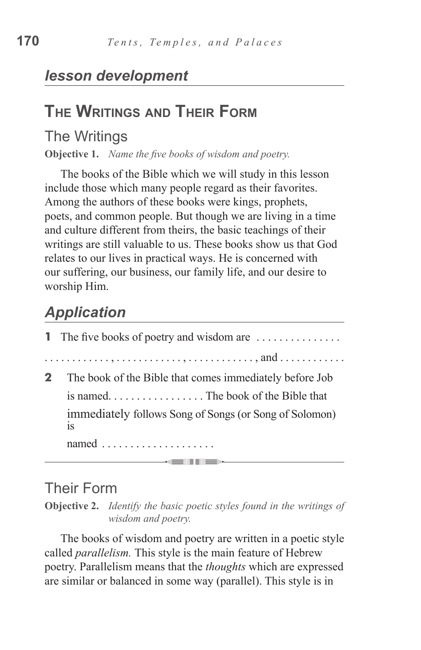## *lesson development*

# **The Writings and Their Form**

## The Writings

**Objective 1.** *Name the five books of wisdom and poetry.*

The books of the Bible which we will study in this lesson include those which many people regard as their favorites. Among the authors of these books were kings, prophets, poets, and common people. But though we are living in a time and culture different from theirs, the basic teachings of their writings are still valuable to us. These books show us that God relates to our lives in practical ways. He is concerned with our suffering, our business, our family life, and our desire to worship Him.

# *Application*

| <b>1</b> The five books of poetry and wisdom are             |
|--------------------------------------------------------------|
|                                                              |
| The book of the Bible that comes immediately before Job      |
|                                                              |
| immediately follows Song of Songs (or Song of Solomon)<br>1S |
|                                                              |
|                                                              |

## Their Form

**Objective 2.** *Identify the basic poetic styles found in the writings of wisdom and poetry.*

The books of wisdom and poetry are written in a poetic style called *parallelism.* This style is the main feature of Hebrew poetry. Parallelism means that the *thoughts* which are expressed are similar or balanced in some way (parallel). This style is in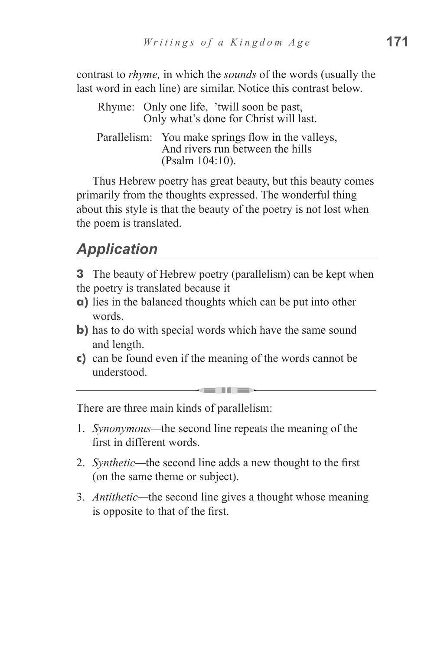contrast to *rhyme,* in which the *sounds* of the words (usually the last word in each line) are similar. Notice this contrast below.

|  | Rhyme: Only one life, 'twill soon be past,<br>Only what's done for Christ will last.                         |
|--|--------------------------------------------------------------------------------------------------------------|
|  | Parallelism: You make springs flow in the valleys,<br>And rivers run between the hills<br>(Psalm $104:10$ ). |

Thus Hebrew poetry has great beauty, but this beauty comes primarily from the thoughts expressed. The wonderful thing about this style is that the beauty of the poetry is not lost when the poem is translated.

# *Application*

**3** The beauty of Hebrew poetry (parallelism) can be kept when the poetry is translated because it

- **a)** lies in the balanced thoughts which can be put into other words.
- **b**) has to do with special words which have the same sound and length.
- **c)** can be found even if the meaning of the words cannot be understood.

and the state of the state

There are three main kinds of parallelism:

- 1. *Synonymous—*the second line repeats the meaning of the first in different words.
- 2. *Synthetic—*the second line adds a new thought to the first (on the same theme or subject).
- 3. *Antithetic—*the second line gives a thought whose meaning is opposite to that of the first.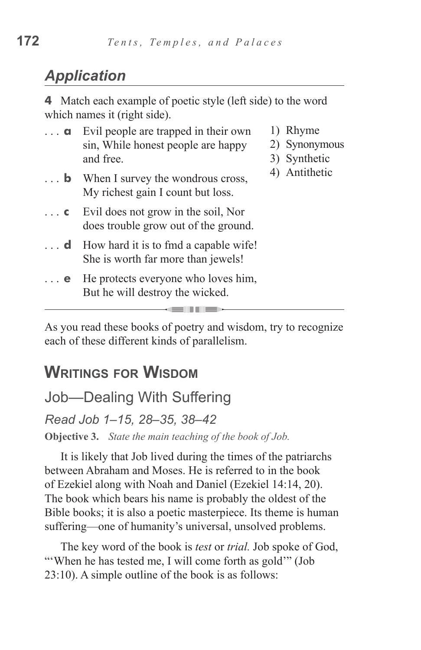# *Application*

**4** Match each example of poetic style (left side) to the word which names it (right side).

- **a** Evil people are trapped in their own sin, While honest people are happy and free.
- **b** When I survey the wondrous cross, My richest gain I count but loss.
- **c** Evil does not grow in the soil, Nor does trouble grow out of the ground.
- ... **d** How hard it is to fmd a capable wife! She is worth far more than jewels!
- **e** He protects everyone who loves him, But he will destroy the wicked.
- 1) Rhyme
- 2) Synonymous
- 3) Synthetic
- 4) Antithetic

As you read these books of poetry and wisdom, try to recognize each of these different kinds of parallelism.

and in the se

# **Writings for Wisdom**

# Job—Dealing With Suffering

*Read Job 1–15, 28–35, 38–42*

**Objective 3.** *State the main teaching of the book of Job.*

It is likely that Job lived during the times of the patriarchs between Abraham and Moses. He is referred to in the book of Ezekiel along with Noah and Daniel (Ezekiel 14:14, 20). The book which bears his name is probably the oldest of the Bible books; it is also a poetic masterpiece. Its theme is human suffering—one of humanity's universal, unsolved problems.

The key word of the book is *test* or *trial.* Job spoke of God, "'When he has tested me, I will come forth as gold"' (Job 23:10). A simple outline of the book is as follows: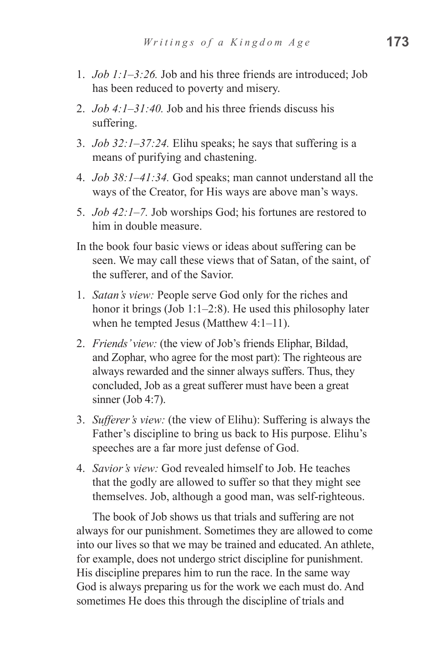- 1. *Job 1:1–3:26.* Job and his three friends are introduced; Job has been reduced to poverty and misery.
- 2. *Job 4:1–31:40*. Job and his three friends discuss his suffering.
- 3. *Job 32:1–37:24.* Elihu speaks; he says that suffering is a means of purifying and chastening.
- 4. *Job 38:1–41:34.* God speaks; man cannot understand all the ways of the Creator, for His ways are above man's ways.
- 5. *Job 42:1–7.* Job worships God; his fortunes are restored to him in double measure.
- In the book four basic views or ideas about suffering can be seen. We may call these views that of Satan, of the saint, of the sufferer, and of the Savior.
- 1. *Satan's view:* People serve God only for the riches and honor it brings (Job 1:1–2:8). He used this philosophy later when he tempted Jesus (Matthew 4:1–11).
- 2. *Friends' view:* (the view of Job's friends Eliphar, Bildad, and Zophar, who agree for the most part): The righteous are always rewarded and the sinner always suffers. Thus, they concluded, Job as a great sufferer must have been a great sinner (Job 4:7).
- 3. *Sufferer's view:* (the view of Elihu): Suffering is always the Father's discipline to bring us back to His purpose. Elihu's speeches are a far more just defense of God.
- 4. *Savior's view:* God revealed himself to Job. He teaches that the godly are allowed to suffer so that they might see themselves. Job, although a good man, was self-righteous.

The book of Job shows us that trials and suffering are not always for our punishment. Sometimes they are allowed to come into our lives so that we may be trained and educated. An athlete, for example, does not undergo strict discipline for punishment. His discipline prepares him to run the race. In the same way God is always preparing us for the work we each must do. And sometimes He does this through the discipline of trials and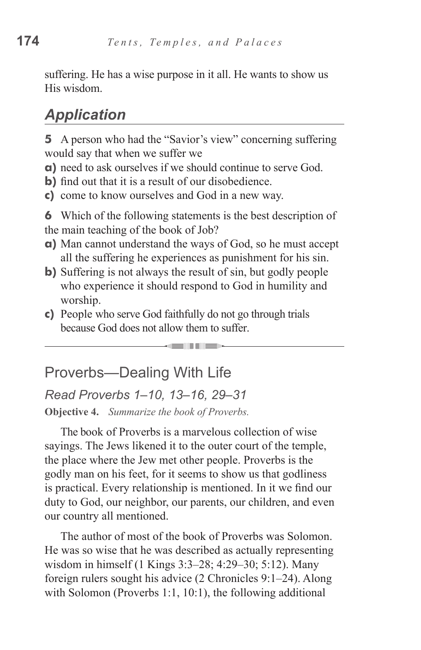suffering. He has a wise purpose in it all. He wants to show us His wisdom.

# *Application*

**5** A person who had the "Savior's view" concerning suffering would say that when we suffer we

- **a)** need to ask ourselves if we should continue to serve God.
- **b**) find out that it is a result of our disobedience.
- **c)** come to know ourselves and God in a new way.

**6** Which of the following statements is the best description of the main teaching of the book of Job?

- **a)** Man cannot understand the ways of God, so he must accept all the suffering he experiences as punishment for his sin.
- **b)** Suffering is not always the result of sin, but godly people who experience it should respond to God in humility and worship.

all lias

**c)** People who serve God faithfully do not go through trials because God does not allow them to suffer.

Proverbs—Dealing With Life

*Read Proverbs 1–10, 13–16, 29–31*

**Objective 4.** *Summarize the book of Proverbs.*

The book of Proverbs is a marvelous collection of wise sayings. The Jews likened it to the outer court of the temple, the place where the Jew met other people. Proverbs is the godly man on his feet, for it seems to show us that godliness is practical. Every relationship is mentioned. In it we find our duty to God, our neighbor, our parents, our children, and even our country all mentioned.

The author of most of the book of Proverbs was Solomon. He was so wise that he was described as actually representing wisdom in himself (1 Kings 3:3–28; 4:29–30; 5:12). Many foreign rulers sought his advice (2 Chronicles 9:1–24). Along with Solomon (Proverbs 1:1, 10:1), the following additional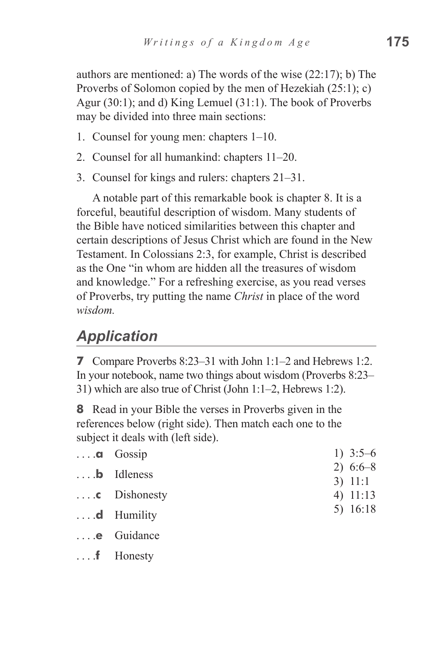authors are mentioned: a) The words of the wise (22:17); b) The Proverbs of Solomon copied by the men of Hezekiah (25:1); c) Agur (30:1); and d) King Lemuel (31:1). The book of Proverbs may be divided into three main sections:

- 1. Counsel for young men: chapters 1–10.
- 2. Counsel for all humankind: chapters 11–20.
- 3. Counsel for kings and rulers: chapters 21–31.

A notable part of this remarkable book is chapter 8. It is a forceful, beautiful description of wisdom. Many students of the Bible have noticed similarities between this chapter and certain descriptions of Jesus Christ which are found in the New Testament. In Colossians 2:3, for example, Christ is described as the One "in whom are hidden all the treasures of wisdom and knowledge." For a refreshing exercise, as you read verses of Proverbs, try putting the name *Christ* in place of the word *wisdom.*

# *Application*

**7** Compare Proverbs 8:23–31 with John 1:1–2 and Hebrews 1:2. In your notebook, name two things about wisdom (Proverbs 8:23– 31) which are also true of Christ (John 1:1–2, Hebrews 1:2).

**8** Read in your Bible the verses in Proverbs given in the references below (right side). Then match each one to the subject it deals with (left side).

| $\ldots$ <b>a</b> Gossip                 | 1) $3:5-6$              |  |  |
|------------------------------------------|-------------------------|--|--|
| 2) $6:6-8$<br>$\ldots$ <b>b</b> Idleness |                         |  |  |
| $\ldots$ . Dishonesty                    | $3)$ 11:1<br>4) $11:13$ |  |  |
| $\ldots$ <b>d</b> Humility               | 5) $16:18$              |  |  |
| e Guidance                               |                         |  |  |
| $\dots$ f Honesty                        |                         |  |  |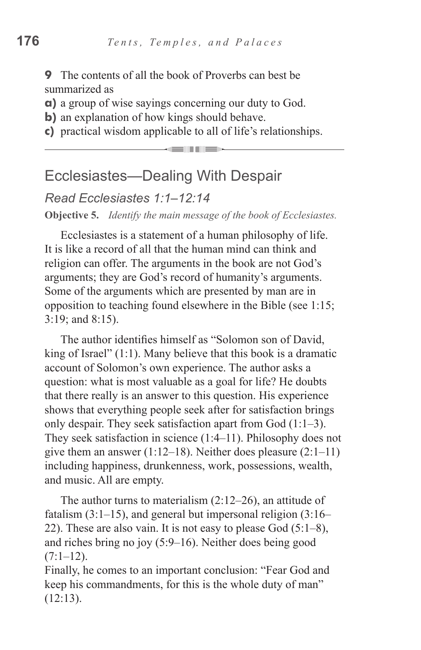**9** The contents of all the book of Proverbs can best be summarized as

**a)** a group of wise sayings concerning our duty to God.

**b)** an explanation of how kings should behave.

**c)** practical wisdom applicable to all of life's relationships.

and the first state.

## Ecclesiastes—Dealing With Despair

#### *Read Ecclesiastes 1:1–12:14*

**Objective 5.** *Identify the main message of the book of Ecclesiastes.*

Ecclesiastes is a statement of a human philosophy of life. It is like a record of all that the human mind can think and religion can offer. The arguments in the book are not God's arguments; they are God's record of humanity's arguments. Some of the arguments which are presented by man are in opposition to teaching found elsewhere in the Bible (see 1:15; 3:19; and 8:15).

The author identifies himself as "Solomon son of David, king of Israel" (1:1). Many believe that this book is a dramatic account of Solomon's own experience. The author asks a question: what is most valuable as a goal for life? He doubts that there really is an answer to this question. His experience shows that everything people seek after for satisfaction brings only despair. They seek satisfaction apart from God (1:1–3). They seek satisfaction in science (1:4–11). Philosophy does not give them an answer  $(1:12-18)$ . Neither does pleasure  $(2:1-11)$ including happiness, drunkenness, work, possessions, wealth, and music. All are empty.

The author turns to materialism (2:12–26), an attitude of fatalism (3:1–15), and general but impersonal religion (3:16– 22). These are also vain. It is not easy to please God (5:1–8), and riches bring no joy (5:9–16). Neither does being good  $(7:1-12)$ .

Finally, he comes to an important conclusion: "Fear God and keep his commandments, for this is the whole duty of man"  $(12:13)$ .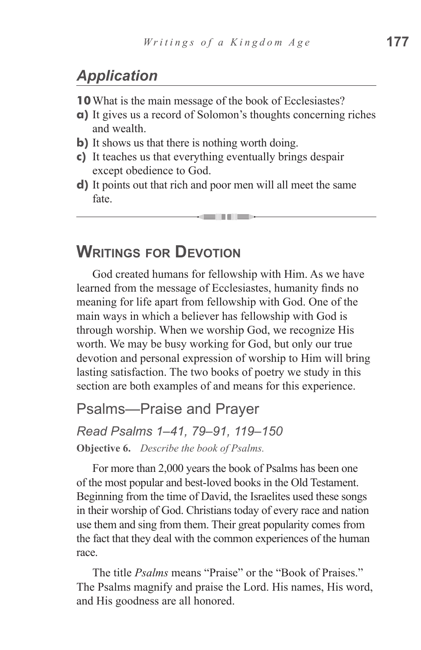# *Application*

**10**What is the main message of the book of Ecclesiastes?

- **a)** It gives us a record of Solomon's thoughts concerning riches and wealth.
- **b**) It shows us that there is nothing worth doing.
- **c)** It teaches us that everything eventually brings despair except obedience to God.
- **d)** It points out that rich and poor men will all meet the same fate.

# **Writings for Devotion**

God created humans for fellowship with Him. As we have learned from the message of Ecclesiastes, humanity finds no meaning for life apart from fellowship with God. One of the main ways in which a believer has fellowship with God is through worship. When we worship God, we recognize His worth. We may be busy working for God, but only our true devotion and personal expression of worship to Him will bring lasting satisfaction. The two books of poetry we study in this section are both examples of and means for this experience.

Psalms—Praise and Prayer *Read Psalms 1–41, 79–91, 119–150* **Objective 6.** *Describe the book of Psalms.*

For more than 2,000 years the book of Psalms has been one of the most popular and best-loved books in the Old Testament. Beginning from the time of David, the Israelites used these songs in their worship of God. Christians today of every race and nation use them and sing from them. Their great popularity comes from the fact that they deal with the common experiences of the human race.

The title *Psalms* means "Praise" or the "Book of Praises." The Psalms magnify and praise the Lord. His names, His word, and His goodness are all honored.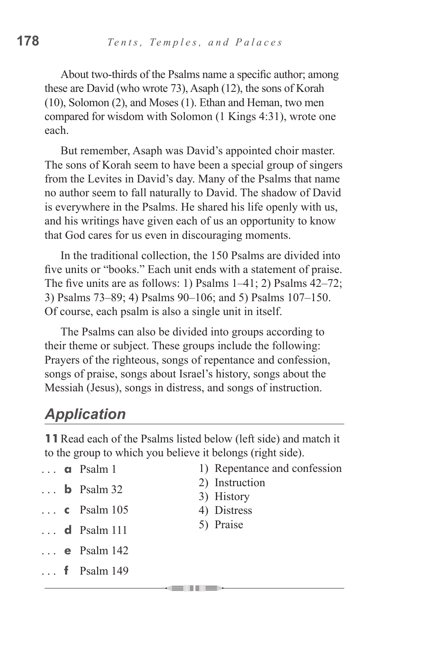About two-thirds of the Psalms name a specific author; among these are David (who wrote 73), Asaph (12), the sons of Korah (10), Solomon (2), and Moses (1). Ethan and Heman, two men compared for wisdom with Solomon (1 Kings 4:31), wrote one each.

But remember, Asaph was David's appointed choir master. The sons of Korah seem to have been a special group of singers from the Levites in David's day. Many of the Psalms that name no author seem to fall naturally to David. The shadow of David is everywhere in the Psalms. He shared his life openly with us, and his writings have given each of us an opportunity to know that God cares for us even in discouraging moments.

In the traditional collection, the 150 Psalms are divided into five units or "books." Each unit ends with a statement of praise. The five units are as follows: 1) Psalms 1–41; 2) Psalms 42–72; 3) Psalms 73–89; 4) Psalms 90–106; and 5) Psalms 107–150. Of course, each psalm is also a single unit in itself.

The Psalms can also be divided into groups according to their theme or subject. These groups include the following: Prayers of the righteous, songs of repentance and confession, songs of praise, songs about Israel's history, songs about the Messiah (Jesus), songs in distress, and songs of instruction.

## *Application*

**11**Read each of the Psalms listed below (left side) and match it to the group to which you believe it belongs (right side).

- **a** Psalm 1
- **b** Psalm 32
- **c**  Psalm 105
- **d**  Psalm 111
- **e**  Psalm 142
- **f**  Psalm 149
- 1) Repentance and confession
- 2) Instruction
- 3) History
- 4) Distress
- 5) Praise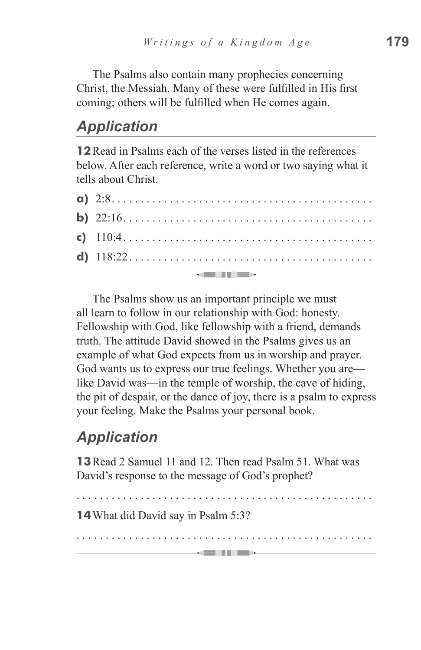The Psalms also contain many prophecies concerning Christ, the Messiah. Many of these were fulfilled in His first coming; others will be fulfilled when He comes again.

# *Application*

**12**Read in Psalms each of the verses listed in the references below. After each reference, write a word or two saying what it tells about Christ.

The Psalms show us an important principle we must all learn to follow in our relationship with God: honesty. Fellowship with God, like fellowship with a friend, demands truth. The attitude David showed in the Psalms gives us an example of what God expects from us in worship and prayer. God wants us to express our true feelings. Whether you are like David was—in the temple of worship, the cave of hiding, the pit of despair, or the dance of joy, there is a psalm to express your feeling. Make the Psalms your personal book.

# *Application*

**13**Read 2 Samuel 11 and 12. Then read Psalm 51. What was David's response to the message of God's prophet?

**14**What did David say in Psalm 5:3?

. . . . . . . . . . . . . . . . . . . . . . . . . . . . . . . . . . . . . . . . . . . . . . . . . . .

. . . . . . . . . . . . . . . . . . . . . . . . . . . . . . . . . . . . . . . . . . . . . . . . . . .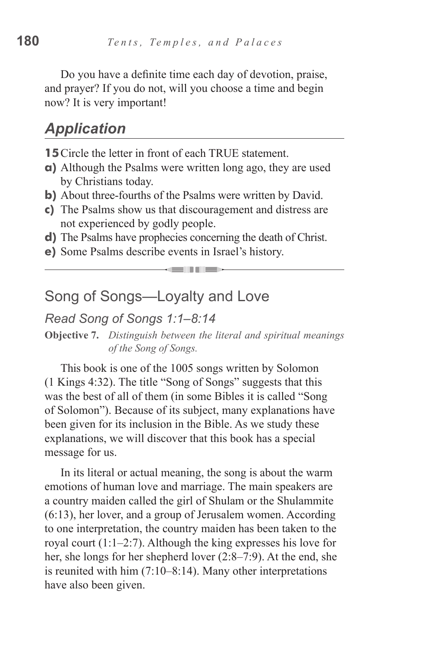Do you have a definite time each day of devotion, praise, and prayer? If you do not, will you choose a time and begin now? It is very important!

#### *Application*

**15** Circle the letter in front of each TRUE statement.

- **a)** Although the Psalms were written long ago, they are used by Christians today.
- **b)** About three-fourths of the Psalms were written by David.
- **c)** The Psalms show us that discouragement and distress are not experienced by godly people.
- **d)** The Psalms have prophecies concerning the death of Christ.

والمرابط والأستراب

**e)** Some Psalms describe events in Israel's history.

#### Song of Songs—Loyalty and Love

#### *Read Song of Songs 1:1–8:14*

**Objective 7.** *Distinguish between the literal and spiritual meanings of the Song of Songs.*

This book is one of the 1005 songs written by Solomon (1 Kings 4:32). The title "Song of Songs" suggests that this was the best of all of them (in some Bibles it is called "Song of Solomon"). Because of its subject, many explanations have been given for its inclusion in the Bible. As we study these explanations, we will discover that this book has a special message for us.

In its literal or actual meaning, the song is about the warm emotions of human love and marriage. The main speakers are a country maiden called the girl of Shulam or the Shulammite (6:13), her lover, and a group of Jerusalem women. According to one interpretation, the country maiden has been taken to the royal court (1:1–2:7). Although the king expresses his love for her, she longs for her shepherd lover (2:8–7:9). At the end, she is reunited with him (7:10–8:14). Many other interpretations have also been given.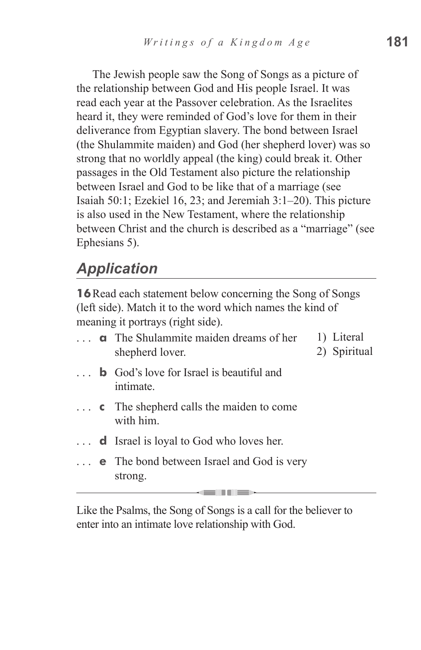The Jewish people saw the Song of Songs as a picture of the relationship between God and His people Israel. It was read each year at the Passover celebration. As the Israelites heard it, they were reminded of God's love for them in their deliverance from Egyptian slavery. The bond between Israel (the Shulammite maiden) and God (her shepherd lover) was so strong that no worldly appeal (the king) could break it. Other passages in the Old Testament also picture the relationship between Israel and God to be like that of a marriage (see Isaiah 50:1; Ezekiel 16, 23; and Jeremiah 3:1–20). This picture is also used in the New Testament, where the relationship between Christ and the church is described as a "marriage" (see Ephesians 5).

# *Application*

**16**Read each statement below concerning the Song of Songs (left side). Match it to the word which names the kind of meaning it portrays (right side).

- **a**  The Shulammite maiden dreams of her 1) Literal  $\mathbf{1}$ 2) Spiritual shepherd lover.
- **b** God's love for Israel is beautiful and intimate.
- **c** The shepherd calls the maiden to come with him.
- **d** Israel is loyal to God who loves her.
- **e** The bond between Israel and God is very strong.

Like the Psalms, the Song of Songs is a call for the believer to enter into an intimate love relationship with God.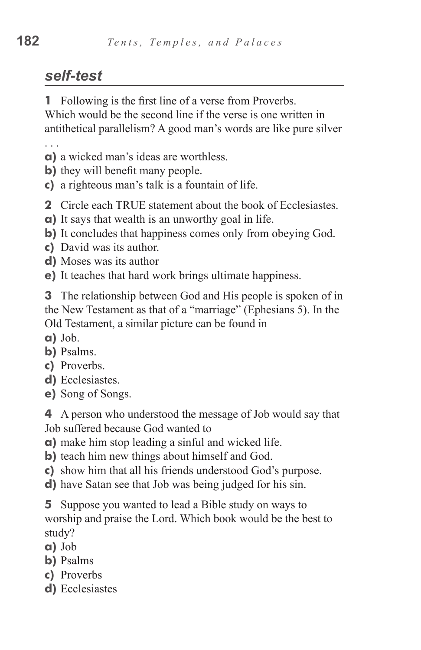# *self-test*

**1** Following is the first line of a verse from Proverbs.

Which would be the second line if the verse is one written in antithetical parallelism? A good man's words are like pure silver

. . .

- **a)** a wicked man's ideas are worthless.
- **b**) they will benefit many people.
- **c)** a righteous man's talk is a fountain of life.
- **2** Circle each TRUE statement about the book of Ecclesiastes.
- **a)** It says that wealth is an unworthy goal in life.
- **b**) It concludes that happiness comes only from obeying God.
- **c)** David was its author.
- **d)** Moses was its author
- **e)** It teaches that hard work brings ultimate happiness.
- **3** The relationship between God and His people is spoken of in the New Testament as that of a "marriage" (Ephesians 5). In the Old Testament, a similar picture can be found in
- **a)** Job.
- **b)** Psalms.
- **c)** Proverbs.
- **d)** Ecclesiastes.
- **e)** Song of Songs.

**4** A person who understood the message of Job would say that Job suffered because God wanted to

- **a)** make him stop leading a sinful and wicked life.
- **b**) teach him new things about himself and God.
- **c)** show him that all his friends understood God's purpose.
- **d)** have Satan see that Job was being judged for his sin.

**5** Suppose you wanted to lead a Bible study on ways to worship and praise the Lord. Which book would be the best to study?

- **a)** Job
- **b)** Psalms
- **c)** Proverbs
- **d)** Ecclesiastes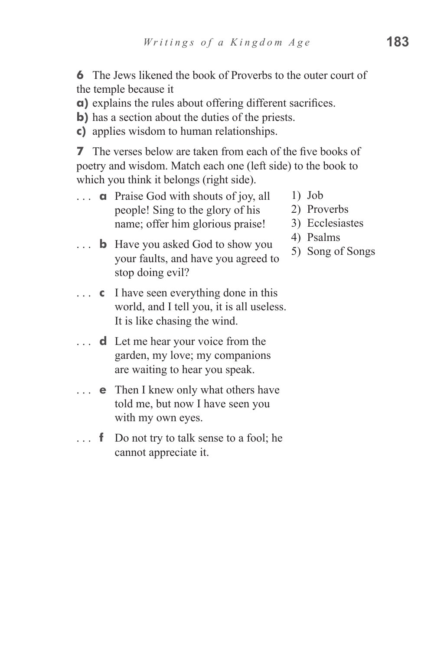**6** The Jews likened the book of Proverbs to the outer court of the temple because it

- **a)** explains the rules about offering different sacrifices.
- **b**) has a section about the duties of the priests.
- **c)** applies wisdom to human relationships.

**7** The verses below are taken from each of the five books of poetry and wisdom. Match each one (left side) to the book to which you think it belongs (right side).

- **a** Praise God with shouts of joy, all people! Sing to the glory of his name; offer him glorious praise!
- **b** Have you asked God to show you your faults, and have you agreed to stop doing evil?
- **c** I have seen everything done in this world, and I tell you, it is all useless. It is like chasing the wind.
- **d** Let me hear your voice from the garden, my love; my companions are waiting to hear you speak.
- **e** Then I knew only what others have told me, but now I have seen you with my own eyes.
- **f** Do not try to talk sense to a fool; he cannot appreciate it.
- 1) Job
- 2) Proverbs
- 3) Ecclesiastes
- 4) Psalms
- 5) Song of Songs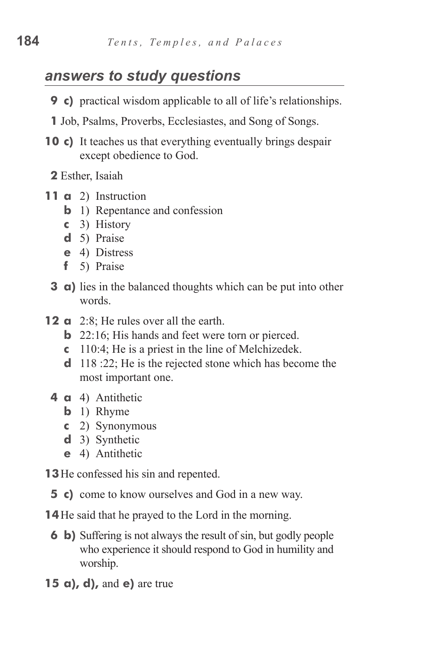# *answers to study questions*

- **9 c)** practical wisdom applicable to all of life's relationships.
- **1** Job, Psalms, Proverbs, Ecclesiastes, and Song of Songs.
- **10 c)** It teaches us that everything eventually brings despair except obedience to God.
	- **2** Esther, Isaiah
- **11 a** 2) Instruction
	- **b** 1) Repentance and confession
	- **c**  3) History
	- **d**  5) Praise
	- **e**  4) Distress
	- **f**  5) Praise
	- **3 a**) lies in the balanced thoughts which can be put into other words.
- **12 a** 2:8; He rules over all the earth.
	- **b** 22:16; His hands and feet were torn or pierced.
	- **c**  110:4; He is a priest in the line of Melchizedek.
	- **d**  118 :22; He is the rejected stone which has become the most important one.
	- **4 a** 4) Antithetic
		- **b** 1) Rhyme
		- **c**  2) Synonymous
		- **d**  3) Synthetic
		- **e**  4) Antithetic
- **13**He confessed his sin and repented.
	- **5 c)** come to know ourselves and God in a new way.
- **14**He said that he prayed to the Lord in the morning.
	- **6 b**) Suffering is not always the result of sin, but godly people who experience it should respond to God in humility and worship.
- **15 a), d),** and **e)** are true